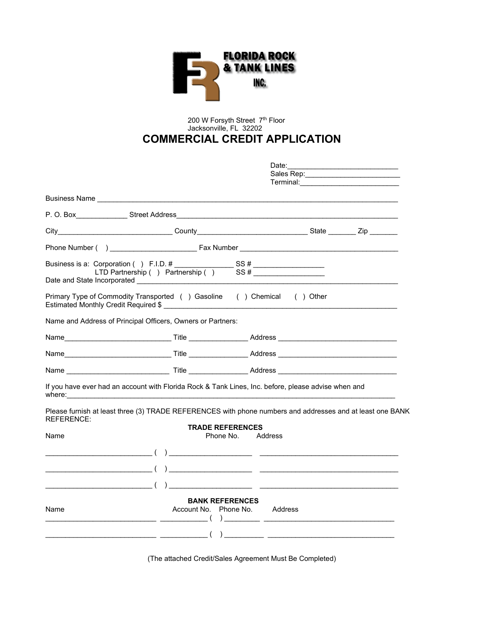

## 200 W Forsyth Street 7th Floor Jacksonville, FL 32202 **COMMERCIAL CREDIT APPLICATION**

|                                                                                                                                                                                                                                                                                                                             | Date:                   |                               |  |  |
|-----------------------------------------------------------------------------------------------------------------------------------------------------------------------------------------------------------------------------------------------------------------------------------------------------------------------------|-------------------------|-------------------------------|--|--|
|                                                                                                                                                                                                                                                                                                                             |                         |                               |  |  |
|                                                                                                                                                                                                                                                                                                                             |                         |                               |  |  |
| P.O. Box Street Address Street Address and the control of the control of the control of the control of the control of the control of the control of the control of the control of the control of the control of the control of                                                                                              |                         |                               |  |  |
| City___________________________________County___________________________________State ___________Zip ________                                                                                                                                                                                                               |                         |                               |  |  |
|                                                                                                                                                                                                                                                                                                                             |                         |                               |  |  |
|                                                                                                                                                                                                                                                                                                                             |                         |                               |  |  |
| Primary Type of Commodity Transported () Gasoline () Chemical () Other                                                                                                                                                                                                                                                      |                         |                               |  |  |
| Name and Address of Principal Officers, Owners or Partners:                                                                                                                                                                                                                                                                 |                         |                               |  |  |
|                                                                                                                                                                                                                                                                                                                             |                         |                               |  |  |
|                                                                                                                                                                                                                                                                                                                             |                         |                               |  |  |
|                                                                                                                                                                                                                                                                                                                             |                         |                               |  |  |
| If you have ever had an account with Florida Rock & Tank Lines, Inc. before, please advise when and                                                                                                                                                                                                                         |                         |                               |  |  |
| Please furnish at least three (3) TRADE REFERENCES with phone numbers and addresses and at least one BANK<br><b>REFERENCE:</b>                                                                                                                                                                                              |                         |                               |  |  |
| Name                                                                                                                                                                                                                                                                                                                        | <b>TRADE REFERENCES</b> | Phone No. Address             |  |  |
|                                                                                                                                                                                                                                                                                                                             |                         |                               |  |  |
|                                                                                                                                                                                                                                                                                                                             |                         |                               |  |  |
| $\overline{a}$ ( ) and the contract of $\overline{a}$ ( ) and the contract of $\overline{a}$ and $\overline{a}$ and $\overline{a}$ and $\overline{a}$ and $\overline{a}$ and $\overline{a}$ and $\overline{a}$ and $\overline{a}$ and $\overline{a}$ and $\overline{a}$ and $\overline{a}$ and $\overline{a}$ and           |                         |                               |  |  |
| Name<br>$\frac{1}{1}$ $\frac{1}{1}$ $\frac{1}{1}$ $\frac{1}{1}$ $\frac{1}{1}$ $\frac{1}{1}$ $\frac{1}{1}$ $\frac{1}{1}$ $\frac{1}{1}$ $\frac{1}{1}$ $\frac{1}{1}$ $\frac{1}{1}$ $\frac{1}{1}$ $\frac{1}{1}$ $\frac{1}{1}$ $\frac{1}{1}$ $\frac{1}{1}$ $\frac{1}{1}$ $\frac{1}{1}$ $\frac{1}{1}$ $\frac{1}{1}$ $\frac{1}{1}$ | <b>BANK REFERENCES</b>  | Account No. Phone No. Address |  |  |
|                                                                                                                                                                                                                                                                                                                             |                         |                               |  |  |

(The attached Credit/Sales Agreement Must Be Completed)